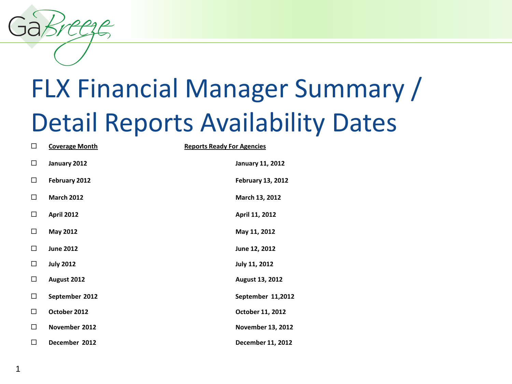1

# FLX Financial Manager Summary / Detail Reports Availability Dates

| □      | <b>Coverage Month</b> | <b>Reports Ready For Agencies</b> |
|--------|-----------------------|-----------------------------------|
| □      | January 2012          | <b>January 11, 2012</b>           |
| □      | February 2012         | <b>February 13, 2012</b>          |
| □      | <b>March 2012</b>     | March 13, 2012                    |
| □      | <b>April 2012</b>     | April 11, 2012                    |
| □      | May 2012              | May 11, 2012                      |
| □      | <b>June 2012</b>      | June 12, 2012                     |
| □      | <b>July 2012</b>      | <b>July 11, 2012</b>              |
| □      | August 2012           | August 13, 2012                   |
| □      | September 2012        | September 11,2012                 |
| $\Box$ | October 2012          | October 11, 2012                  |
| □      | November 2012         | <b>November 13, 2012</b>          |
| □      | December 2012         | December 11, 2012                 |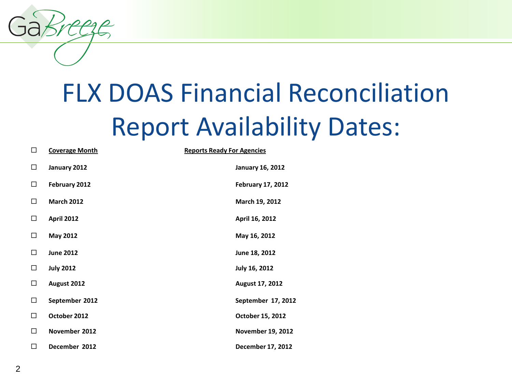## FLX DOAS Financial Reconciliation Report Availability Dates:

| $\Box$ | <b>Coverage Month</b> | <b>Reports Ready For Agencies</b> |
|--------|-----------------------|-----------------------------------|
| $\Box$ | January 2012          | <b>January 16, 2012</b>           |
| $\Box$ | February 2012         | <b>February 17, 2012</b>          |
| □      | <b>March 2012</b>     | March 19, 2012                    |
| $\Box$ | <b>April 2012</b>     | April 16, 2012                    |
| □      | May 2012              | May 16, 2012                      |
| □      | <b>June 2012</b>      | June 18, 2012                     |
| □      | <b>July 2012</b>      | July 16, 2012                     |
| □      | August 2012           | August 17, 2012                   |
| □      | September 2012        | September 17, 2012                |
| $\Box$ | October 2012          | October 15, 2012                  |
| $\Box$ | November 2012         | <b>November 19, 2012</b>          |
| $\Box$ | December 2012         | December 17, 2012                 |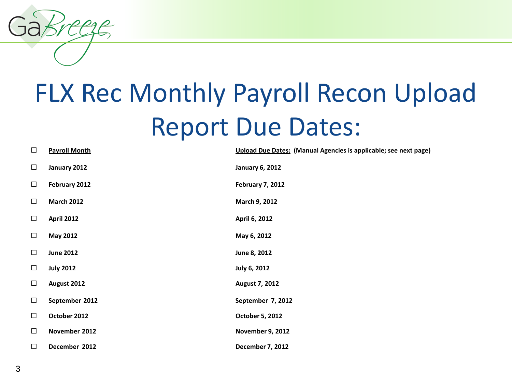## FLX Rec Monthly Payroll Recon Upload Report Due Dates:

| $\Box$ | <b>Payroll Month</b> | Upload Due Dates: (Manual Agencies is applicable; see next page) |
|--------|----------------------|------------------------------------------------------------------|
| $\Box$ | January 2012         | <b>January 6, 2012</b>                                           |
| $\Box$ | February 2012        | <b>February 7, 2012</b>                                          |
| $\Box$ | <b>March 2012</b>    | March 9, 2012                                                    |
| $\Box$ | <b>April 2012</b>    | April 6, 2012                                                    |
| $\Box$ | <b>May 2012</b>      | May 6, 2012                                                      |
| $\Box$ | <b>June 2012</b>     | June 8, 2012                                                     |
| $\Box$ | <b>July 2012</b>     | July 6, 2012                                                     |
| $\Box$ | August 2012          | August 7, 2012                                                   |
| $\Box$ | September 2012       | September 7, 2012                                                |
| $\Box$ | October 2012         | October 5, 2012                                                  |
| $\Box$ | November 2012        | <b>November 9, 2012</b>                                          |
| $\Box$ | December 2012        | December 7, 2012                                                 |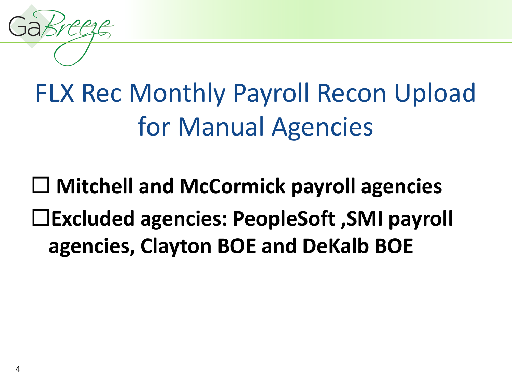## FLX Rec Monthly Payroll Recon Upload for Manual Agencies

### **Mitchell and McCormick payroll agencies Excluded agencies: PeopleSoft ,SMI payroll agencies, Clayton BOE and DeKalb BOE**